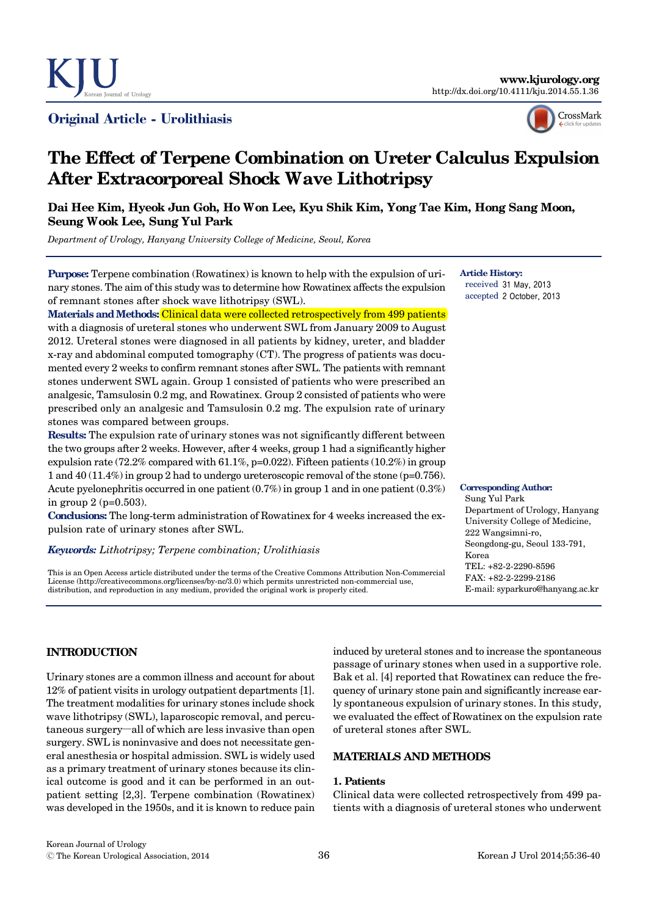

## Original Article - Urolithiasis



# **The Effect of Terpene Combination on Ureter Calculus Expulsion After Extracorporeal Shock Wave Lithotripsy**

## **Dai Hee Kim, Hyeok Jun Goh, Ho Won Lee, Kyu Shik Kim, Yong Tae Kim, Hong Sang Moon, Seung Wook Lee, Sung Yul Park**

*Department of Urology, Hanyang University College of Medicine, Seoul, Korea*

**Purpose:** Terpene combination (Rowatinex) is known to help with the expulsion of urinary stones. The aim of this study was to determine how Rowatinex affects the expulsion of remnant stones after shock wave lithotripsy (SWL).

**Materials and Methods:** Clinical data were collected retrospectively from 499 patients with a diagnosis of ureteral stones who underwent SWL from January 2009 to August 2012. Ureteral stones were diagnosed in all patients by kidney, ureter, and bladder x-ray and abdominal computed tomography (CT). The progress of patients was documented every 2 weeks to confirm remnant stones after SWL. The patients with remnant stones underwent SWL again. Group 1 consisted of patients who were prescribed an analgesic, Tamsulosin 0.2 mg, and Rowatinex. Group 2 consisted of patients who were prescribed only an analgesic and Tamsulosin 0.2 mg. The expulsion rate of urinary stones was compared between groups.

**Results:** The expulsion rate of urinary stones was not significantly different between the two groups after 2 weeks. However, after 4 weeks, group 1 had a significantly higher expulsion rate (72.2% compared with 61.1%, p=0.022). Fifteen patients (10.2%) in group 1 and 40 (11.4%) in group 2 had to undergo ureteroscopic removal of the stone (p=0.756). Acute pyelonephritis occurred in one patient (0.7%) in group 1 and in one patient (0.3%) in group 2 (p=0.503).

**Conclusions:** The long-term administration of Rowatinex for 4 weeks increased the expulsion rate of urinary stones after SWL.

#### *Keywords: Lithotripsy; Terpene combination; Urolithiasis*

This is an Open Access article distributed under the terms of the Creative Commons Attribution Non-Commercial License (http://creativecommons.org/licenses/by-nc/3.0) which permits unrestricted non-commercial use, distribution, and reproduction in any medium, provided the original work is properly cited.

**Article History:** received 31 May, 2013 accepted 2 October, 2013

**Corresponding Author:**

Sung Yul Park Department of Urology, Hanyang University College of Medicine, 222 Wangsimni-ro, Seongdong-gu, Seoul 133-791, Korea TEL: +82-2-2290-8596 FAX: +82-2-2299-2186 E-mail: syparkuro@hanyang.ac.kr

## **INTRODUCTION**

Urinary stones are a common illness and account for about 12% of patient visits in urology outpatient departments [1]. The treatment modalities for urinary stones include shock wave lithotripsy (SWL), laparoscopic removal, and percutaneous surgery—all of which are less invasive than open surgery. SWL is noninvasive and does not necessitate general anesthesia or hospital admission. SWL is widely used as a primary treatment of urinary stones because its clinical outcome is good and it can be performed in an outpatient setting [2,3]. Terpene combination (Rowatinex) was developed in the 1950s, and it is known to reduce pain

induced by ureteral stones and to increase the spontaneous passage of urinary stones when used in a supportive role. Bak et al. [4] reported that Rowatinex can reduce the frequency of urinary stone pain and significantly increase early spontaneous expulsion of urinary stones. In this study, we evaluated the effect of Rowatinex on the expulsion rate of ureteral stones after SWL.

## **MATERIALS AND METHODS**

## **1. Patients**

Clinical data were collected retrospectively from 499 patients with a diagnosis of ureteral stones who underwent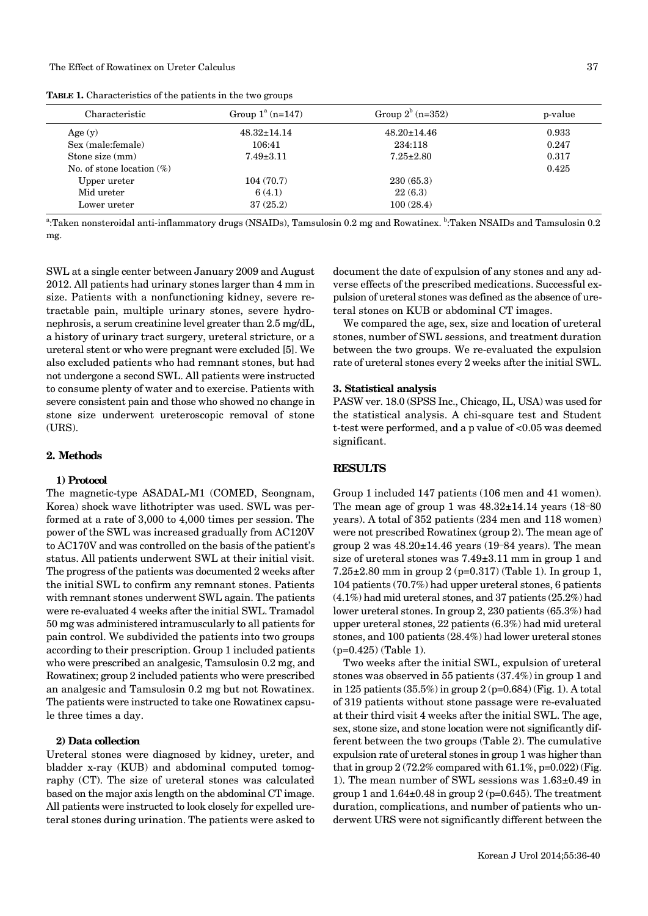| <b>TABLE 1.</b> Characteristics of the patients in the two groups |  |
|-------------------------------------------------------------------|--|
|-------------------------------------------------------------------|--|

| Characteristic               | Group $1^a$ (n=147) | Group $2^b$ (n=352) | p-value |
|------------------------------|---------------------|---------------------|---------|
| Age $(y)$                    | $48.32 \pm 14.14$   | $48.20 \pm 14.46$   | 0.933   |
| Sex (male: female)           | 106:41              | 234:118             | 0.247   |
| Stone size (mm)              | $7.49 \pm 3.11$     | $7.25 \pm 2.80$     | 0.317   |
| No. of stone location $(\%)$ |                     |                     | 0.425   |
| Upper ureter                 | 104(70.7)           | 230(65.3)           |         |
| Mid ureter                   | 6(4.1)              | 22(6.3)             |         |
| Lower ureter                 | 37(25.2)            | 100(28.4)           |         |

<sup>a</sup>:Taken nonsteroidal anti-inflammatory drugs (NSAIDs), Tamsulosin 0.2 mg and Rowatinex. <sup>b</sup>:Taken NSAIDs and Tamsulosin 0.2 mg.

SWL at a single center between January 2009 and August 2012. All patients had urinary stones larger than 4 mm in size. Patients with a nonfunctioning kidney, severe retractable pain, multiple urinary stones, severe hydronephrosis, a serum creatinine level greater than 2.5 mg/dL, a history of urinary tract surgery, ureteral stricture, or a ureteral stent or who were pregnant were excluded [5]. We also excluded patients who had remnant stones, but had not undergone a second SWL. All patients were instructed to consume plenty of water and to exercise. Patients with severe consistent pain and those who showed no change in stone size underwent ureteroscopic removal of stone (URS).

#### **2. Methods**

#### **1) Protocol**

The magnetic-type ASADAL-M1 (COMED, Seongnam, Korea) shock wave lithotripter was used. SWL was performed at a rate of 3,000 to 4,000 times per session. The power of the SWL was increased gradually from AC120V to AC170V and was controlled on the basis of the patient's status. All patients underwent SWL at their initial visit. The progress of the patients was documented 2 weeks after the initial SWL to confirm any remnant stones. Patients with remnant stones underwent SWL again. The patients were re-evaluated 4 weeks after the initial SWL. Tramadol 50 mg was administered intramuscularly to all patients for pain control. We subdivided the patients into two groups according to their prescription. Group 1 included patients who were prescribed an analgesic, Tamsulosin 0.2 mg, and Rowatinex; group 2 included patients who were prescribed an analgesic and Tamsulosin 0.2 mg but not Rowatinex. The patients were instructed to take one Rowatinex capsule three times a day.

#### **2) Data collection**

Ureteral stones were diagnosed by kidney, ureter, and bladder x-ray (KUB) and abdominal computed tomography (CT). The size of ureteral stones was calculated based on the major axis length on the abdominal CT image. All patients were instructed to look closely for expelled ureteral stones during urination. The patients were asked to document the date of expulsion of any stones and any adverse effects of the prescribed medications. Successful expulsion of ureteral stones was defined as the absence of ureteral stones on KUB or abdominal CT images.

We compared the age, sex, size and location of ureteral stones, number of SWL sessions, and treatment duration between the two groups. We re-evaluated the expulsion rate of ureteral stones every 2 weeks after the initial SWL.

#### **3. Statistical analysis**

PASW ver. 18.0 (SPSS Inc., Chicago, IL, USA) was used for the statistical analysis. A chi-square test and Student t-test were performed, and a p value of <0.05 was deemed significant.

#### **RESULTS**

Group 1 included 147 patients (106 men and 41 women). The mean age of group 1 was  $48.32 \pm 14.14$  years (18-80) years). A total of 352 patients (234 men and 118 women) were not prescribed Rowatinex (group 2). The mean age of group 2 was  $48.20 \pm 14.46$  years (19–84 years). The mean size of ureteral stones was 7.49±3.11 mm in group 1 and 7.25±2.80 mm in group 2 (p=0.317) (Table 1). In group 1, 104 patients (70.7%) had upper ureteral stones, 6 patients (4.1%) had mid ureteral stones, and 37 patients (25.2%) had lower ureteral stones. In group 2, 230 patients (65.3%) had upper ureteral stones, 22 patients (6.3%) had mid ureteral stones, and 100 patients (28.4%) had lower ureteral stones (p=0.425) (Table 1).

Two weeks after the initial SWL, expulsion of ureteral stones was observed in 55 patients (37.4%) in group 1 and in 125 patients (35.5%) in group 2 (p=0.684) (Fig. 1). A total of 319 patients without stone passage were re-evaluated at their third visit 4 weeks after the initial SWL. The age, sex, stone size, and stone location were not significantly different between the two groups (Table 2). The cumulative expulsion rate of ureteral stones in group 1 was higher than that in group  $2(72.2\%$  compared with  $61.1\%$ , p=0.022) (Fig. 1). The mean number of SWL sessions was 1.63±0.49 in group 1 and  $1.64\pm0.48$  in group 2 (p=0.645). The treatment duration, complications, and number of patients who underwent URS were not significantly different between the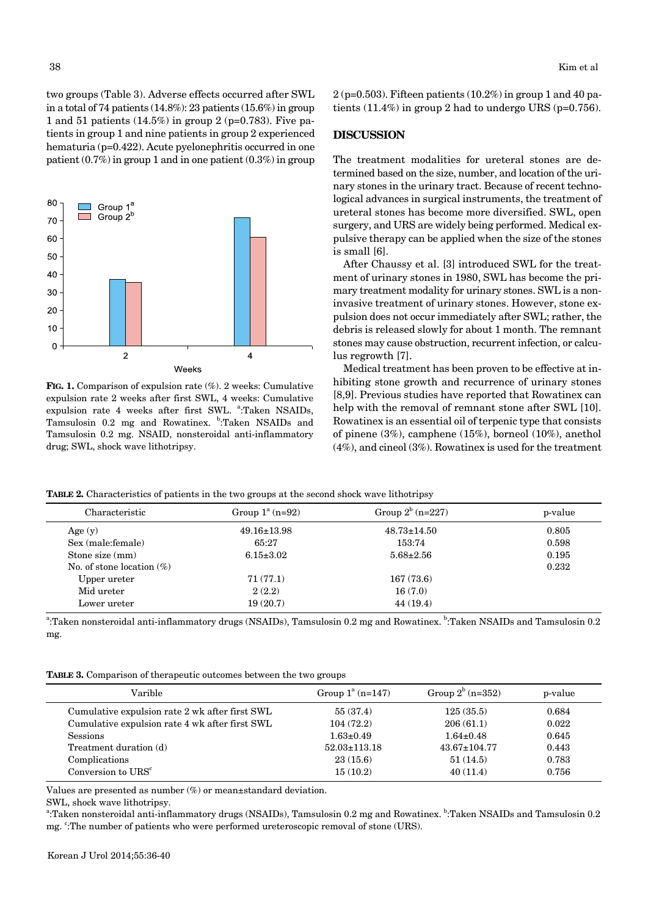two groups (Table 3). Adverse effects occurred after SWL in a total of 74 patients (14.8%): 23 patients (15.6%) in group 1 and 51 patients (14.5%) in group 2 (p=0.783). Five patients in group 1 and nine patients in group 2 experienced hematuria (p=0.422). Acute pyelonephritis occurred in one patient (0.7%) in group 1 and in one patient (0.3%) in group



**FIG. 1.** Comparison of expulsion rate (%). 2 weeks: Cumulative expulsion rate 2 weeks after first SWL, 4 weeks: Cumulative expulsion rate 4 weeks after first SWL. <sup>a</sup>:Taken NSAIDs, Tamsulosin 0.2 mg and Rowatinex. <sup>b</sup>:Taken NSAIDs and Tamsulosin 0.2 mg. NSAID, nonsteroidal anti-inflammatory drug; SWL, shock wave lithotripsy.

 $2(p=0.503)$ . Fifteen patients  $(10.2\%)$  in group 1 and 40 patients (11.4%) in group 2 had to undergo URS (p=0.756).

#### **DISCUSSION**

The treatment modalities for ureteral stones are determined based on the size, number, and location of the urinary stones in the urinary tract. Because of recent technological advances in surgical instruments, the treatment of ureteral stones has become more diversified. SWL, open surgery, and URS are widely being performed. Medical expulsive therapy can be applied when the size of the stones is small [6].

After Chaussy et al. [3] introduced SWL for the treatment of urinary stones in 1980, SWL has become the primary treatment modality for urinary stones. SWL is a noninvasive treatment of urinary stones. However, stone expulsion does not occur immediately after SWL; rather, the debris is released slowly for about 1 month. The remnant stones may cause obstruction, recurrent infection, or calculus regrowth [7].

Medical treatment has been proven to be effective at inhibiting stone growth and recurrence of urinary stones [8,9]. Previous studies have reported that Rowatinex can help with the removal of remnant stone after SWL [10]. Rowatinex is an essential oil of terpenic type that consists of pinene (3%), camphene (15%), borneol (10%), anethol (4%), and cineol (3%). Rowatinex is used for the treatment

**TABLE 2.** Characteristics of patients in the two groups at the second shock wave lithotripsy

| Characteristic               | Group $1^a$ (n=92) | Group $2^b$ (n=227) | p-value |
|------------------------------|--------------------|---------------------|---------|
| Age $(y)$                    | $49.16 \pm 13.98$  | $48.73 \pm 14.50$   | 0.805   |
| Sex (male: female)           | 65:27              | 153:74              | 0.598   |
| Stone size (mm)              | $6.15 \pm 3.02$    | $5.68 \pm 2.56$     | 0.195   |
| No. of stone location $(\%)$ |                    |                     | 0.232   |
| Upper ureter                 | 71(77.1)           | 167(73.6)           |         |
| Mid ureter                   | 2(2.2)             | 16(7.0)             |         |
| Lower ureter                 | 19(20.7)           | 44(19.4)            |         |

<sup>a</sup>:Taken nonsteroidal anti-inflammatory drugs (NSAIDs), Tamsulosin 0.2 mg and Rowatinex. <sup>b</sup>:Taken NSAIDs and Tamsulosin 0.2 mg.

**TABLE 3.** Comparison of therapeutic outcomes between the two groups

| Varible                                        | Group $1^a$ (n=147) | Group $2^b$ (n=352) | p-value |
|------------------------------------------------|---------------------|---------------------|---------|
| Cumulative expulsion rate 2 wk after first SWL | 55(37.4)            | 125(35.5)           | 0.684   |
| Cumulative expulsion rate 4 wk after first SWL | 104(72.2)           | 206(61.1)           | 0.022   |
| <b>Sessions</b>                                | $1.63 \pm 0.49$     | $1.64 \pm 0.48$     | 0.645   |
| Treatment duration (d)                         | $52.03 \pm 113.18$  | $43.67 \pm 104.77$  | 0.443   |
| Complications                                  | 23(15.6)            | 51(14.5)            | 0.783   |
| Conversion to URS <sup>c</sup>                 | 15(10.2)            | 40(11.4)            | 0.756   |

Values are presented as number (%) or mean±standard deviation.

SWL, shock wave lithotripsy.

<sup>a</sup>:Taken nonsteroidal anti-inflammatory drugs (NSAIDs), Tamsulosin 0.2 mg and Rowatinex. <sup>b</sup>:Taken NSAIDs and Tamsulosin 0.2 mg. "The number of patients who were performed ureteroscopic removal of stone (URS).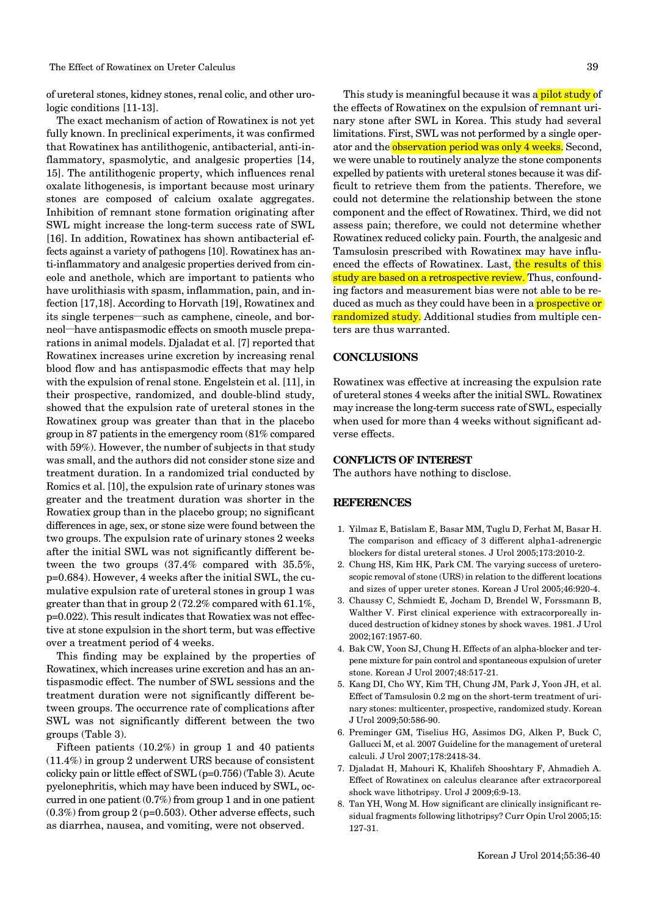of ureteral stones, kidney stones, renal colic, and other urologic conditions [11-13].

The exact mechanism of action of Rowatinex is not yet fully known. In preclinical experiments, it was confirmed that Rowatinex has antilithogenic, antibacterial, anti-inflammatory, spasmolytic, and analgesic properties [14, 15]. The antilithogenic property, which influences renal oxalate lithogenesis, is important because most urinary stones are composed of calcium oxalate aggregates. Inhibition of remnant stone formation originating after SWL might increase the long-term success rate of SWL [16]. In addition, Rowatinex has shown antibacterial effects against a variety of pathogens [10]. Rowatinex has anti-inflammatory and analgesic properties derived from cineole and anethole, which are important to patients who have urolithiasis with spasm, inflammation, pain, and infection [17,18]. According to Horvath [19], Rowatinex and its single terpenes—such as camphene, cineole, and borneol—have antispasmodic effects on smooth muscle preparations in animal models. Djaladat et al. [7] reported that Rowatinex increases urine excretion by increasing renal blood flow and has antispasmodic effects that may help with the expulsion of renal stone. Engelstein et al. [11], in their prospective, randomized, and double-blind study, showed that the expulsion rate of ureteral stones in the Rowatinex group was greater than that in the placebo group in 87 patients in the emergency room (81% compared with 59%). However, the number of subjects in that study was small, and the authors did not consider stone size and treatment duration. In a randomized trial conducted by Romics et al. [10], the expulsion rate of urinary stones was greater and the treatment duration was shorter in the Rowatiex group than in the placebo group; no significant differences in age, sex, or stone size were found between the two groups. The expulsion rate of urinary stones 2 weeks after the initial SWL was not significantly different between the two groups (37.4% compared with 35.5%, p=0.684). However, 4 weeks after the initial SWL, the cumulative expulsion rate of ureteral stones in group 1 was greater than that in group 2 (72.2% compared with 61.1%, p=0.022). This result indicates that Rowatiex was not effective at stone expulsion in the short term, but was effective over a treatment period of 4 weeks.

This finding may be explained by the properties of Rowatinex, which increases urine excretion and has an antispasmodic effect. The number of SWL sessions and the treatment duration were not significantly different between groups. The occurrence rate of complications after SWL was not significantly different between the two groups (Table 3).

Fifteen patients (10.2%) in group 1 and 40 patients (11.4%) in group 2 underwent URS because of consistent colicky pain or little effect of SWL (p=0.756) (Table 3). Acute pyelonephritis, which may have been induced by SWL, occurred in one patient (0.7%) from group 1 and in one patient (0.3%) from group 2 (p=0.503). Other adverse effects, such as diarrhea, nausea, and vomiting, were not observed.

This study is meaningful because it was a pilot study of the effects of Rowatinex on the expulsion of remnant urinary stone after SWL in Korea. This study had several limitations. First, SWL was not performed by a single operator and the observation period was only 4 weeks. Second, we were unable to routinely analyze the stone components expelled by patients with ureteral stones because it was difficult to retrieve them from the patients. Therefore, we could not determine the relationship between the stone component and the effect of Rowatinex. Third, we did not assess pain; therefore, we could not determine whether Rowatinex reduced colicky pain. Fourth, the analgesic and Tamsulosin prescribed with Rowatinex may have influenced the effects of Rowatinex. Last, the results of this study are based on a retrospective review. Thus, confounding factors and measurement bias were not able to be reduced as much as they could have been in a **prospective or** randomized study. Additional studies from multiple centers are thus warranted.

### **CONCLUSIONS**

Rowatinex was effective at increasing the expulsion rate of ureteral stones 4 weeks after the initial SWL. Rowatinex may increase the long-term success rate of SWL, especially when used for more than 4 weeks without significant adverse effects.

#### **CONFLICTS OF INTEREST**

The authors have nothing to disclose.

#### **REFERENCES**

- 1. Yilmaz E, Batislam E, Basar MM, Tuglu D, Ferhat M, Basar H. The comparison and efficacy of 3 different alpha1-adrenergic blockers for distal ureteral stones. J Urol 2005;173:2010-2.
- 2. Chung HS, Kim HK, Park CM. The varying success of ureteroscopic removal of stone (URS) in relation to the different locations and sizes of upper ureter stones. Korean J Urol 2005;46:920-4.
- 3. Chaussy C, Schmiedt E, Jocham D, Brendel W, Forssmann B, Walther V. First clinical experience with extracorporeally induced destruction of kidney stones by shock waves. 1981. J Urol 2002;167:1957-60.
- 4. Bak CW, Yoon SJ, Chung H. Effects of an alpha-blocker and terpene mixture for pain control and spontaneous expulsion of ureter stone. Korean J Urol 2007;48:517-21.
- 5. Kang DI, Cho WY, Kim TH, Chung JM, Park J, Yoon JH, et al. Effect of Tamsulosin 0.2 mg on the short-term treatment of urinary stones: multicenter, prospective, randomized study. Korean J Urol 2009;50:586-90.
- 6. Preminger GM, Tiselius HG, Assimos DG, Alken P, Buck C, Gallucci M, et al. 2007 Guideline for the management of ureteral calculi. J Urol 2007;178:2418-34.
- 7. Djaladat H, Mahouri K, Khalifeh Shooshtary F, Ahmadieh A. Effect of Rowatinex on calculus clearance after extracorporeal shock wave lithotripsy. Urol J 2009;6:9-13.
- 8. Tan YH, Wong M. How significant are clinically insignificant residual fragments following lithotripsy? Curr Opin Urol 2005;15: 127-31.